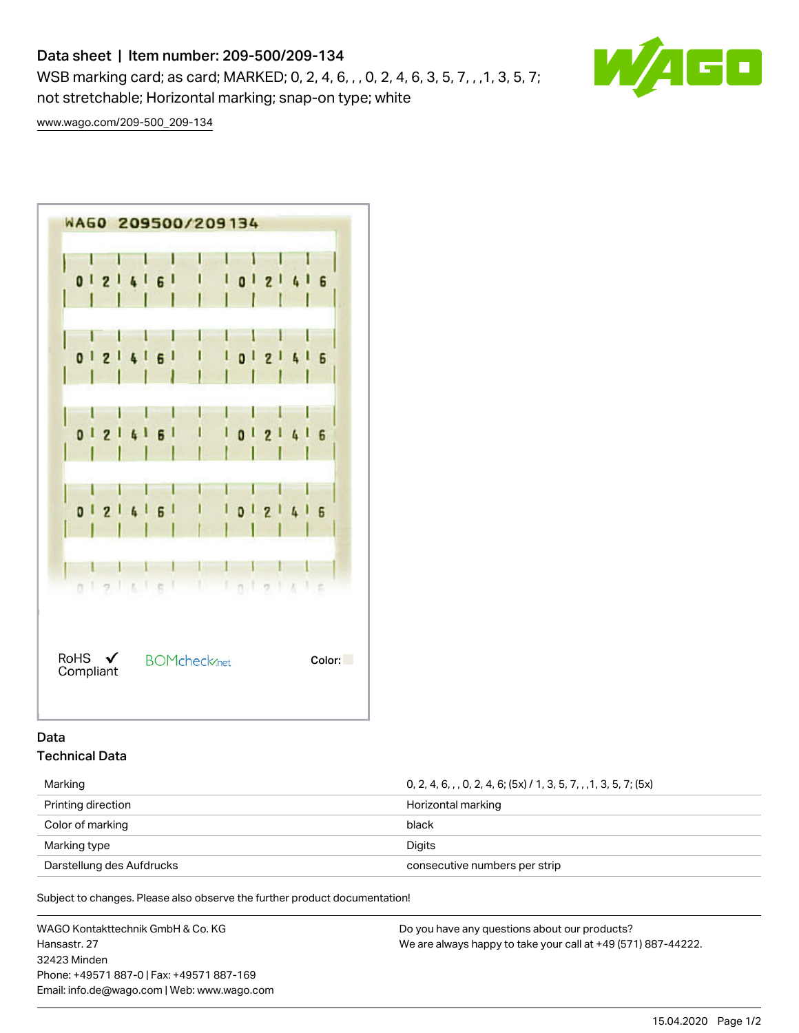# Data sheet | Item number: 209-500/209-134

WSB marking card; as card; MARKED; 0, 2, 4, 6, , , 0, 2, 4, 6, 3, 5, 7, , , 1, 3, 5, 7; not stretchable; Horizontal marking; snap-on type; white



[www.wago.com/209-500\\_209-134](http://www.wago.com/209-500_209-134)



## Data Technical Data

Marking 0, 2, 4, 6, , , 0, 2, 4, 6; (5x) / 1, 3, 5, 7, , ,1, 3, 5, 7; (5x) Printing direction **Horizontal marking** Horizontal marking Color of marking black Marking type Digits Darstellung des Aufdrucks and the consecutive numbers per strip consecutive numbers per strip

Subject to changes. Please also observe the further product documentation!

WAGO Kontakttechnik GmbH & Co. KG Hansastr. 27 32423 Minden Phone: +49571 887-0 | Fax: +49571 887-169 Email: info.de@wago.com | Web: www.wago.com Do you have any questions about our products? We are always happy to take your call at +49 (571) 887-44222.